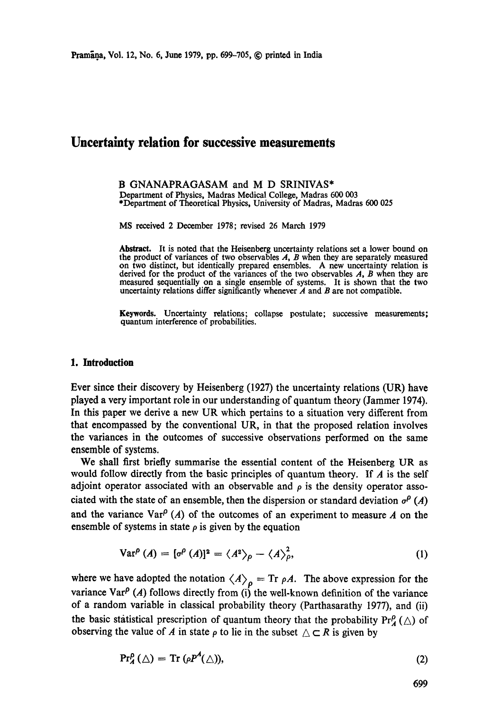# **Uncertainty relation for successive measurements**

#### B GNANAPRAGASAM and M D SRINIVAS\* Department of Physics, Madras Medical College, Madras 600 003 \*Department of Theoretical Physics, University of Madras, Madras 600 025

MS received 2 December 1978; revised 26 March 1979

**Abstract.** It is noted that the Heisenberg uncertainty relations set a lower bound on **the** product of variances of two observables A, B when they are separately measured on two distinct, but identically prepared ensembles. A new uncertainty relation is derived for the product of the variances of the two observables A, B when they are measured sequentially on a single ensemble of systems. It is shown that the two uncertainty relations differ significantly whenever  $\vec{A}$  and  $\vec{B}$  are not compatible.

Keywords. Uncertainty relations; collapse postulate; successive measurements; quantum interference of probabilities.

### **1. Introduction**

Ever since their discovery by Heisenberg (1927) the uncertainty relations (UP,) have played a very important role in our understanding of quantum theory (Jammer 1974). In this paper we derive a new UR which pertains to a situation very different from that encompassed by the conventional UR, in that the proposed relation involves the variances in the outcomes of successive observations performed on the same ensemble of systems.

We shall first briefly summarise the essential content of the Heisenberg UR as would follow directly from the basic principles of quantum theory. If  $\vec{A}$  is the self adjoint operator associated with an observable and  $\rho$  is the density operator associated with the state of an ensemble, then the dispersion or standard deviation  $\sigma^p(A)$ and the variance  $\text{Var}^{\rho}(A)$  of the outcomes of an experiment to measure A on the ensemble of systems in state  $\rho$  is given by the equation

$$
Var^{\rho}(A) = [\sigma^{\rho}(A)]^2 = \langle A^2 \rangle_{\rho} - \langle A \rangle_{\rho}^2,
$$
 (1)

where we have adopted the notation  $\langle A \rangle_{\rho} = \text{Tr } \rho A$ . The above expression for the variance Var<sup>p</sup> (A) follows directly from (i) the well-known definition of the variance of a random variable in classical probability theory (Parthasarathy 1977), and (ii) the basic statistical prescription of quantum theory that the probability  $Pr_A^p(\triangle)$  of observing the value of A in state  $\rho$  to lie in the subset  $\triangle \subset R$  is given by

$$
\Pr_A^p(\triangle) = \text{Tr}\,(\rho P^A(\triangle)),\tag{2}
$$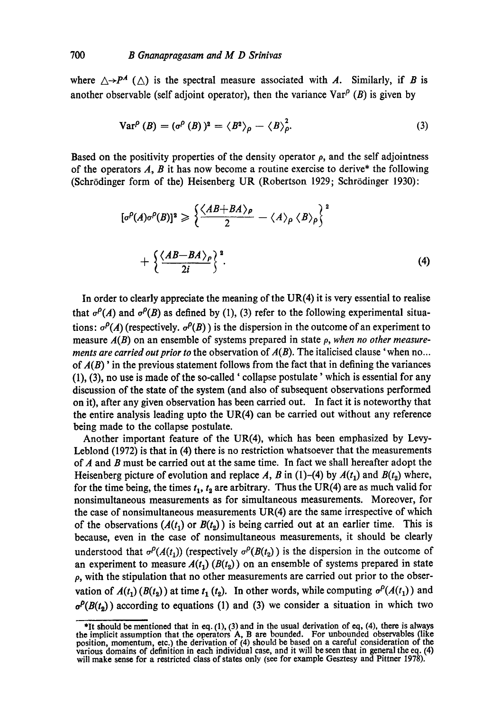where  $\triangle \rightarrow P^A$  ( $\triangle$ ) is the spectral measure associated with A. Similarly, if B is another observable (self adjoint operator), then the variance  $\text{Var}^{\rho}(B)$  is given by

$$
Var^{\rho}(B) = (\sigma^{\rho}(B))^2 = \langle B^2 \rangle_{\rho} - \langle B \rangle_{\rho}^2.
$$
 (3)

Based on the positivity properties of the density operator  $\rho$ , and the self adjointness of the operators  $A$ ,  $B$  it has now become a routine exercise to derive\* the following (Schrödinger form of the) Heisenberg UR (Robertson 1929; Schrödinger 1930):

$$
[\sigma^{\rho}(A)\sigma^{\rho}(B)]^2 \geqslant \left\{ \frac{\langle AB + BA \rangle_{\rho}}{2} - \langle A \rangle_{\rho} \langle B \rangle_{\rho} \right\}^2 + \left\{ \frac{\langle AB - BA \rangle_{\rho}}{2i} \right\}^2.
$$
 (4)

In order to clearly appreciate the meaning of the  $UR(4)$  it is very essential to realise that  $\sigma^{\rho}(A)$  and  $\sigma^{\rho}(B)$  as defined by (1), (3) refer to the following experimental situations:  $\sigma^{\rho}(A)$  (respectively.  $\sigma^{\rho}(B)$ ) is the dispersion in the outcome of an experiment to measure *A(B)* on an ensemble of systems prepared in state p, *when no other measurements are carried out prior to* the observation of A(B). The italicised clause 'when no... of *A(B)'* in the previous statement follows from the fact that in defining the variances (1), (3), no use is made of the so-called' collapse postulate' which is essential for any discussion of the state of the system (and also of subsequent observations performed on it), after any given observation has been carried out. In fact it is noteworthy that the entire analysis leading upto the  $UR(4)$  can be carried out without any reference being made to the collapse postulate.

Another important feature of the UR(4), which has been emphasized by Levy-Leblond (1972) is that in (4) there is no restriction whatsoever that the measurements of  $A$  and  $B$  must be carried out at the same time. In fact we shall hereafter adopt the Heisenberg picture of evolution and replace A, B in (1)-(4) by  $A(t_1)$  and  $B(t_2)$  where, for the time being, the times  $t_1$ ,  $t_2$  are arbitrary. Thus the UR(4) are as much valid for nonsimultaneous measurements as for simultaneous measurements. Moreover, for the case of nonsimultaneous measurements UR(4) are the same irrespective of which of the observations  $(A(t_1)$  or  $B(t_2)$ ) is being carried out at an earlier time. This is because, even in the case of nonsimultaneous measurements, it should be clearly understood that  $\sigma^p(A(t_1))$  (respectively  $\sigma^p(B(t_2))$ ) is the dispersion in the outcome of an experiment to measure  $A(t_1)$  ( $B(t_2)$ ) on an ensemble of systems prepared in state  $\rho$ , with the stipulation that no other measurements are carried out prior to the observation of  $A(t_1) (B(t_2))$  at time  $t_1$  ( $t_2$ ). In other words, while computing  $\sigma^p(A(t_1))$  and  $\sigma^p(B(t_2))$  according to equations (1) and (3) we consider a situation in which two

<sup>\*</sup>It should be mentioned that in eq. (1), (3) and in the usual derivation of eq, (4), there is always the implicit assumption that the operators A, B are bounded. For unbounded observables (like position, momentum, etc.) the derivation of (4) should be based on a careful consideration of the various domains of definition in each individual case, and it will be seen that in general the eq. (4) will make sense for a restricted class of states only (see for example Gesztesy and Pittner 1978).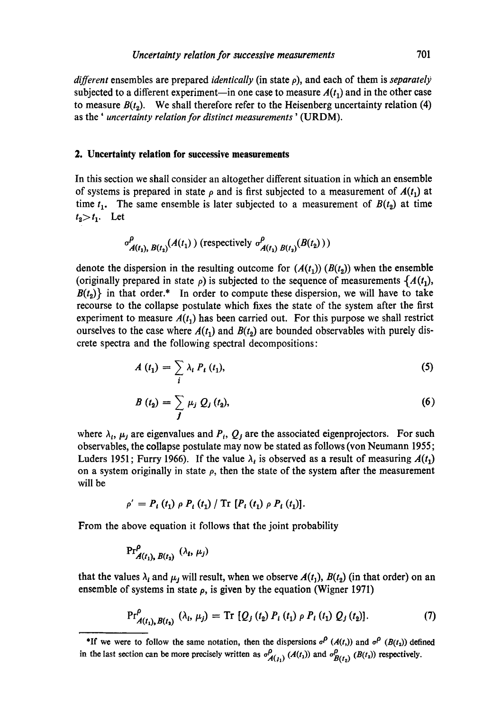*different* ensembles are prepared *identically* (in state p), and each of them is *separately*  subjected to a different experiment—in one case to measure  $A(t_1)$  and in the other case to measure  $B(t<sub>2</sub>)$ . We shall therefore refer to the Heisenberg uncertainty relation (4) as the' *uncertainty relation for distinct measurements'* (URDM).

# **2. Uncertainty relation for successive measurements**

In this section we shall consider an altogether different situation in which an ensemble of systems is prepared in state  $\rho$  and is first subjected to a measurement of  $A(t_1)$  at time  $t_1$ . The same ensemble is later subjected to a measurement of  $B(t_2)$  at time  $t_2 > t_1$ . Let

$$
\sigma_{A(t_1), B(t_2)}^{\rho}(A(t_1))
$$
 (respectively  $\sigma_{A(t_1), B(t_2)}^{\rho}(B(t_2)))$ 

denote the dispersion in the resulting outcome for  $(A(t_1)) (B(t_2))$  when the ensemble (originally prepared in state  $\rho$ ) is subjected to the sequence of measurements  $\{A(t_1),\}$  $B(t_2)$  in that order.\* In order to compute these dispersion, we will have to take recourse to the collapse postulate which fixes the state of the system after the first experiment to measure  $A(t_1)$  has been carried out. For this purpose we shall restrict ourselves to the case where  $A(t_1)$  and  $B(t_2)$  are bounded observables with purely discrete spectra and the following spectral decompositions:

$$
A(t_1) = \sum_i \lambda_i P_i(t_1), \qquad (5)
$$

$$
B(t_2) = \sum_j \mu_j Q_j(t_2), \qquad (6)
$$

where  $\lambda_i$ ,  $\mu_j$  are eigenvalues and  $P_i$ ,  $Q_j$  are the associated eigenprojectors. For such observables, the collapse postulate may now be stated as follows (von Neumann 1955; Luders 1951; Furry 1966). If the value  $\lambda_t$  is observed as a result of measuring  $A(t_1)$ on a system originally in state  $\rho$ , then the state of the system after the measurement will be

$$
\rho' = P_i(t_1) \rho P_i(t_1) / Tr [P_i(t_1) \rho P_i(t_1)].
$$

From the above equation it follows that the joint probability

$$
\Pr^{\rho}_{A(t_1), B(t_2)} (\lambda_t, \mu_j)
$$

that the values  $\lambda_i$  and  $\mu_j$  will result, when we observe  $A(t_1)$ ,  $B(t_2)$  (in that order) on an ensemble of systems in state  $\rho$ , is given by the equation (Wigner 1971)

$$
\Pr_{A(t_1), B(t_2)}^{\rho} (\lambda_i, \mu_j) = \text{Tr} [Q_j(t_2) P_i(t_1) \rho P_i(t_1) Q_j(t_2)]. \tag{7}
$$

<sup>\*</sup>If we were to follow the same notation, then the dispersions  $a^P(A(t))$  and  $a^P(B(t_2))$  defined in the last section can be more precisely written as  $\sigma_{A(t_1)}^{\rho}(A(t_1))$  and  $\sigma_{B(t_2)}^{\rho}(B(t_2))$  respectively.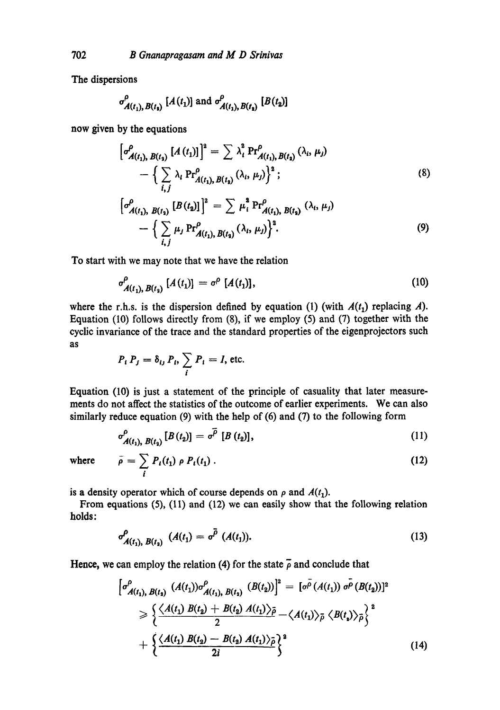The dispersions

$$
\sigma_{A(t_1), B(t_1)}^{\rho}
$$
 [ $A(t_1)$ ] and  $\sigma_{A(t_1), B(t_2)}^{\rho}$  [ $B(t_2)$ ]

**now given by the equations** 

$$
\left[\sigma_{A(t_1), B(t_2)}^{\rho}\left[A(t_1)\right]\right]^2 = \sum \lambda_i^2 \Pr_{A(t_1), B(t_2)}^{\rho} (\lambda_i, \mu_j)
$$

$$
- \left\{\sum_{i,j} \lambda_i \Pr_{A(t_1), B(t_2)}^{\rho} (\lambda_i, \mu_j)\right\}^2; \tag{8}
$$

$$
\left[\sigma_{A(t_1), B(t_2)}^{\rho} [B(t_2)]\right]^2 = \sum \mu_i^2 \Pr_{A(t_1), B(t_2)}^{\rho} (\lambda_i, \mu_j)
$$
  
-  $\left\{\sum_{i,j} \mu_j \Pr_{A(t_1), B(t_2)}^{\rho} (\lambda_i, \mu_j)\right\}^2$ . (9)

**To** start with we may note that we have the relation

$$
\sigma_{A(t_1), B(t_2)}^{\rho} [A(t_1)] = \sigma^{\rho} [A(t_1)], \qquad (10)
$$

where the r.h.s. is the dispersion defined by equation (1) (with  $A(t_1)$  replacing A). Equation (10) follows directly from (8), if we employ (5) and (7) together with the cyclic invariance of the trace and the standard properties of the eigenprojectors such as

$$
P_i P_j = \delta_{ij} P_i, \sum_i P_i = I, \text{ etc.}
$$

Equation (10) is just a statement of the principle of casuality that later measurements do not affect the statistics of the outcome of earlier experiments. We can also similarly reduce equation (9) with the help of (6) and (7) to the following form

$$
\sigma_{A(t_1), B(t_2)}^{\rho}[B(t_2)] = \sigma^{\overline{\rho}}[B(t_2)], \qquad (11)
$$

where 
$$
\bar{\rho} = \sum_{i} P_i(t_1) \rho P_i(t_1).
$$
 (12)

is a density operator which of course depends on  $\rho$  and  $A(t_1)$ .

From equations (5), (11) and (12) we can easily show that the following relation holds:

$$
\sigma_{A(t_1), B(t_2)}^{\rho} (A(t_1) = \sigma^{\bar{\rho}} (A(t_1)).
$$
\n(13)

Hence, we can employ the relation (4) for the state  $\overline{\rho}$  and conclude that

$$
\begin{aligned}\n\left[\sigma_{A(t_1), B(t_2)}^{\rho} (A(t_1)) \sigma_{A(t_1), B(t_2)}^{\rho} (B(t_2))\right]^2 &= [\sigma^{\rho} (A(t_1)) \sigma^{\rho} (B(t_2))]^2 \\
&\geqslant \left\{\frac{\langle A(t_1) B(t_2) + B(t_2) A(t_1) \rangle_{\bar{\rho}}}{2} - \langle A(t_1) \rangle_{\bar{\rho}} \langle B(t_1) \rangle_{\bar{\rho}}\right\}^2 \\
&\quad + \left\{\frac{\langle A(t_1) B(t_2) - B(t_2) A(t_1) \rangle_{\bar{\rho}}}{2i}\right\}^2\n\end{aligned} \tag{14}
$$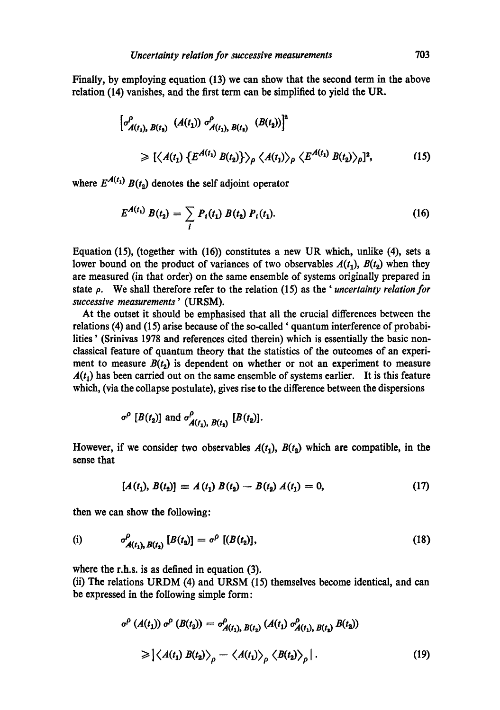Finally, by employing equation (13) we can show that the second term in the above relation (14) vanishes, and the first term can be simplified to yield the UR.

$$
\begin{aligned}\n\left[\sigma_{A(t_1), B(t_1)}^{\rho} \left(A(t_1)\right) \sigma_{A(t_1), B(t_2)}^{\rho} \left(B(t_2)\right)\right]^2 \\
&\geq \left[\left\langle A(t_1) \left\{E^{A(t_1)} B(t_2)\right\}\right\rangle_{\rho} \left\langle A(t_1)\right\rangle_{\rho} \left\langle E^{A(t_1)} B(t_2)\right\rangle_{\rho}\right]^2,\n\end{aligned} \tag{15}
$$

where  $E^{A(t_1)} B(t_2)$  denotes the self adjoint operator

$$
E^{A(t_1)} B(t_2) = \sum_i P_i(t_1) B(t_2) P_i(t_1).
$$
 (16)

Equation (15), (together with (16)) constitutes a new UR which, unlike (4), sets a lower bound on the product of variances of two observables  $A(t_1)$ ,  $B(t_2)$  when they are measured (in that order) on the same ensemble of systems originally prepared in state p. We shall therefore refer to the relation (15) as the ' *uncertainty relation for successive measurements'* (URSM).

At the outset it should be emphasised that all the crucial differences between the relations (4) and (15) arise because of the so-called' quantum interference of probabilities' (Srinivas 1978 and references cited therein) which is essentially the basic nonclassical feature of quantum theory that the statistics of the outcomes of an experiment to measure  $B(t_2)$  is dependent on whether or not an experiment to measure  $A(t_1)$  has been carried out on the same ensemble of systems earlier. It is this feature which, (via the collapse postulate), gives rise to the difference between the dispersions

$$
\sigma^{\rho}
$$
 [B(t<sub>2</sub>)] and  $\sigma^{\rho}_{A(t_1), B(t_2)}$  [B(t<sub>2</sub>)].

However, if we consider two observables  $A(t_1)$ ,  $B(t_2)$  which are compatible, in the sense that

$$
[A(t_1), B(t_2)] \equiv A(t_1) B(t_2) - B(t_2) A(t_1) = 0, \qquad (17)
$$

then we can show the following:

(i) 
$$
\sigma_{A(t_1), B(t_2)}^{\rho} [B(t_2)] = \sigma^{\rho} [B(t_2)], \qquad (18)
$$

where the r.h.s, is as defined in equation (3).

(ii) The relations URDM (4) and URSM (15) themselves become identical, and can be expressed in the following simple form:

$$
\sigma^{\rho} (A(t_1)) \sigma^{\rho} (B(t_2)) = \sigma^{\rho}_{A(t_1), B(t_2)} (A(t_1) \sigma^{\rho}_{A(t_1), B(t_2)} B(t_2))
$$
  
\n
$$
\geq |\langle A(t_1) B(t_2) \rangle_{\rho} - \langle A(t_1) \rangle_{\rho} \langle B(t_2) \rangle_{\rho} |.
$$
 (19)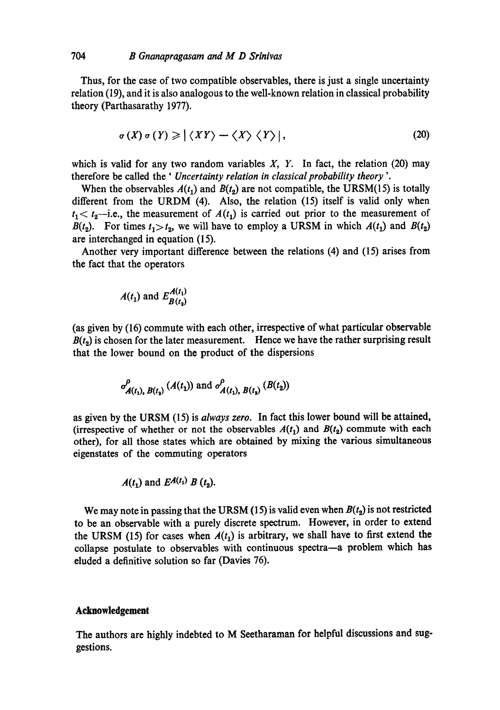Thus, for the case of two compatible observables, there is just a single uncertainty relation (19), and it is also analogous to the well-known relation in classical probability theory (Parthasarathy 1977).

$$
\sigma(X)\sigma(Y)\geqslant \left|\left\langle XY\right\rangle - \left\langle X\right\rangle \left\langle Y\right\rangle\right|,\tag{20}
$$

which is valid for any two random variables  $X$ ,  $Y$ . In fact, the relation (20) may therefore be called the ' *Uncertainty relation in classical probability theory '.* 

When the observables  $A(t_1)$  and  $B(t_2)$  are not compatible, the URSM(15) is totally different from the URDM (4). Also, the relation (15) itself is valid only when  $t_1 < t_2$ —i.e., the measurement of  $A(t_1)$  is carried out prior to the measurement of *B*( $t_2$ ). For times  $t_1 > t_2$ , we will have to employ a URSM in which  $A(t_1)$  and  $B(t_2)$ are interchanged in equation (15).

Another very important difference between the relations (4) and (15) arises from the fact that the operators

$$
A(t_1) \text{ and } E_{B(t_2)}^{A(t_1)}
$$

(as given by (16) commute with each other, irrespective of what particular observable  $B(t<sub>2</sub>)$  is chosen for the later measurement. Hence we have the rather surprising result that the lower bound on the product of the dispersions

$$
\sigma_{A(t_1), B(t_2)}^{\rho} (A(t_1))
$$
 and  $\sigma_{A(t_1), B(t_2)}^{\rho} (B(t_2))$ 

as given by the URSM (15) is *always zero.* In fact this lower bound will be attained, (irrespective of whether or not the observables  $A(t_1)$  and  $B(t_2)$  commute with each other), for all those states which are obtained by mixing the various simultaneous eigenstates of the commuting operators

$$
A(t_1) \text{ and } E^{A(t_1)} B(t_2).
$$

We may note in passing that the URSM (15) is valid even when  $B(t_2)$  is not restricted to be an observable with a purely discrete spectrum. However, in order to extend the URSM (15) for cases when  $A(t_1)$  is arbitrary, we shall have to first extend the collapse postulate to observables with continuous spectra--a problem which has eluded a definitive solution so far (Davies 76).

## **Acknowledgement**

**The authors are highly indebted to M Seetharaman for helpful discussions and suggestions.**